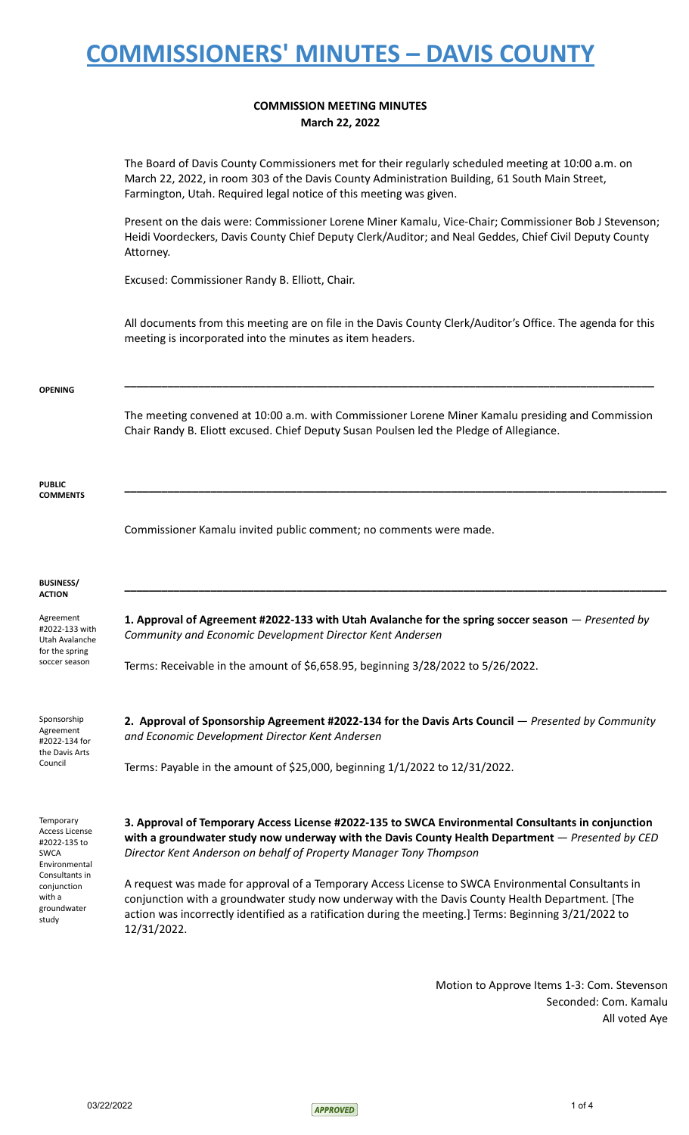### **COMMISSION MEETING MINUTES March 22, 2022**

The Board of Davis County Commissioners met for their regularly scheduled meeting at 10:00 a.m. on March 22, 2022, in room 303 of the Davis County Administration Building, 61 South Main Street, Farmington, Utah. Required legal notice of this meeting was given.

Present on the dais were: Commissioner Lorene Miner Kamalu, Vice-Chair; Commissioner Bob J Stevenson; Heidi Voordeckers, Davis County Chief Deputy Clerk/Auditor; and Neal Geddes, Chief Civil Deputy County Attorney.

Excused: Commissioner Randy B. Elliott, Chair.

All documents from this meeting are on file in the Davis County Clerk/Auditor's Office. The agenda for this meeting is incorporated into the minutes as item headers.

**\_\_\_\_\_\_\_\_\_\_\_\_\_\_\_\_\_\_\_\_\_\_\_\_\_\_\_\_\_\_\_\_\_\_\_\_\_\_\_\_\_\_\_\_\_\_\_\_\_\_\_\_\_\_\_\_\_\_\_\_\_\_\_\_\_\_\_\_\_\_\_\_\_\_\_\_\_\_\_\_\_\_\_\_\_\_**

#### **OPENING**

The meeting convened at 10:00 a.m. with Commissioner Lorene Miner Kamalu presiding and Commission Chair Randy B. Eliott excused. Chief Deputy Susan Poulsen led the Pledge of Allegiance.

**\_\_\_\_\_\_\_\_\_\_\_\_\_\_\_\_\_\_\_\_\_\_\_\_\_\_\_\_\_\_\_\_\_\_\_\_\_\_\_\_\_\_\_\_\_\_\_\_\_\_\_\_\_\_\_\_\_\_\_\_\_\_\_\_\_\_\_\_\_\_\_\_\_\_\_\_\_\_\_\_\_\_\_\_\_\_\_\_**

**\_\_\_\_\_\_\_\_\_\_\_\_\_\_\_\_\_\_\_\_\_\_\_\_\_\_\_\_\_\_\_\_\_\_\_\_\_\_\_\_\_\_\_\_\_\_\_\_\_\_\_\_\_\_\_\_\_\_\_\_\_\_\_\_\_\_\_\_\_\_\_\_\_\_\_\_\_\_\_\_\_\_\_\_\_\_\_\_**

**PUBLIC COMMENTS**

Commissioner Kamalu invited public comment; no comments were made.

#### **BUSINESS/ ACTION**

Agreement #2022-133 with Utah Avalanche for the spring soccer season

**1. Approval of Agreement #2022-133 with Utah Avalanche for the spring soccer season** — *Presented by Community and Economic Development Director Kent Andersen*

Terms: Receivable in the amount of \$6,658.95, beginning 3/28/2022 to 5/26/2022.

Sponsorship Agreement #2022-134 for the Davis Arts Council

**2. Approval of Sponsorship Agreement #2022-134 for the Davis Arts Council** — *Presented by Community and Economic Development Director Kent Andersen*

Terms: Payable in the amount of \$25,000, beginning 1/1/2022 to 12/31/2022.

**Temporary** Access License #2022-135 to SWCA Environmental Consultants in conjunction with a groundwater study

**3. Approval of Temporary Access License #2022-135 to SWCA Environmental Consultants in conjunction with a groundwater study now underway with the Davis County Health Department** — *Presented by CED Director Kent Anderson on behalf of Property Manager Tony Thompson*

A request was made for approval of a Temporary Access License to SWCA Environmental Consultants in conjunction with a groundwater study now underway with the Davis County Health Department. [The action was incorrectly identified as a ratification during the meeting.] Terms: Beginning 3/21/2022 to 12/31/2022.

> Motion to Approve Items 1-3: Com. Stevenson Seconded: Com. Kamalu All voted Aye

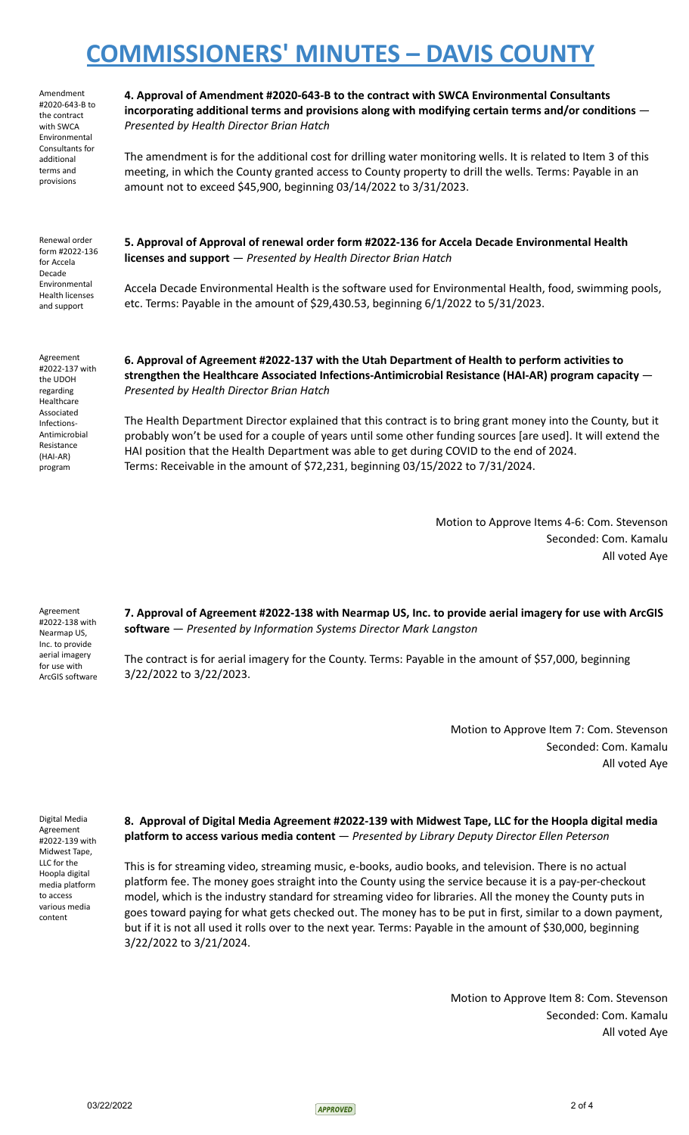Amendment #2020-643-B to the contract with SWCA Environmental Consultants for additional terms and provisions

**4. Approval of Amendment #2020-643-B to the contract with SWCA Environmental Consultants incorporating additional terms and provisions along with modifying certain terms and/or conditions** — *Presented by Health Director Brian Hatch*

The amendment is for the additional cost for drilling water monitoring wells. It is related to Item 3 of this meeting, in which the County granted access to County property to drill the wells. Terms: Payable in an amount not to exceed \$45,900, beginning 03/14/2022 to 3/31/2023.

Renewal order form #2022-136 for Accela Decade Environmental Health licenses and support

**5. Approval of Approval of renewal order form #2022-136 for Accela Decade Environmental Health licenses and support** — *Presented by Health Director Brian Hatch*

Accela Decade Environmental Health is the software used for Environmental Health, food, swimming pools, etc. Terms: Payable in the amount of \$29,430.53, beginning 6/1/2022 to 5/31/2023.

Agreement #2022-137 with the UDOH regarding Healthcare Associated Infections-Antimicrobial Resistance (HAI-AR) program

#### **6. Approval of Agreement #2022-137 with the Utah Department of Health to perform activities to strengthen the Healthcare Associated Infections-Antimicrobial Resistance (HAI-AR) program capacity** — *Presented by Health Director Brian Hatch*

The Health Department Director explained that this contract is to bring grant money into the County, but it probably won't be used for a couple of years until some other funding sources [are used]. It will extend the HAI position that the Health Department was able to get during COVID to the end of 2024. Terms: Receivable in the amount of \$72,231, beginning 03/15/2022 to 7/31/2024.

> Motion to Approve Items 4-6: Com. Stevenson Seconded: Com. Kamalu All voted Aye

Agreement #2022-138 with Nearmap US, Inc. to provide aerial imagery for use with ArcGIS software **7. Approval of Agreement #2022-138 with Nearmap US, Inc. to provide aerial imagery for use with ArcGIS software** — *Presented by Information Systems Director Mark Langston*

The contract is for aerial imagery for the County. Terms: Payable in the amount of \$57,000, beginning 3/22/2022 to 3/22/2023.

> Motion to Approve Item 7: Com. Stevenson Seconded: Com. Kamalu All voted Aye

Digital Media Agreement #2022-139 with Midwest Tape, LLC for the Hoopla digital media platform to access various media content

**8. Approval of Digital Media Agreement #2022-139 with Midwest Tape, LLC for the Hoopla digital media platform to access various media content** — *Presented by Library Deputy Director Ellen Peterson*

This is for streaming video, streaming music, e-books, audio books, and television. There is no actual platform fee. The money goes straight into the County using the service because it is a pay-per-checkout model, which is the industry standard for streaming video for libraries. All the money the County puts in goes toward paying for what gets checked out. The money has to be put in first, similar to a down payment, but if it is not all used it rolls over to the next year. Terms: Payable in the amount of \$30,000, beginning 3/22/2022 to 3/21/2024.

> Motion to Approve Item 8: Com. Stevenson Seconded: Com. Kamalu All voted Aye

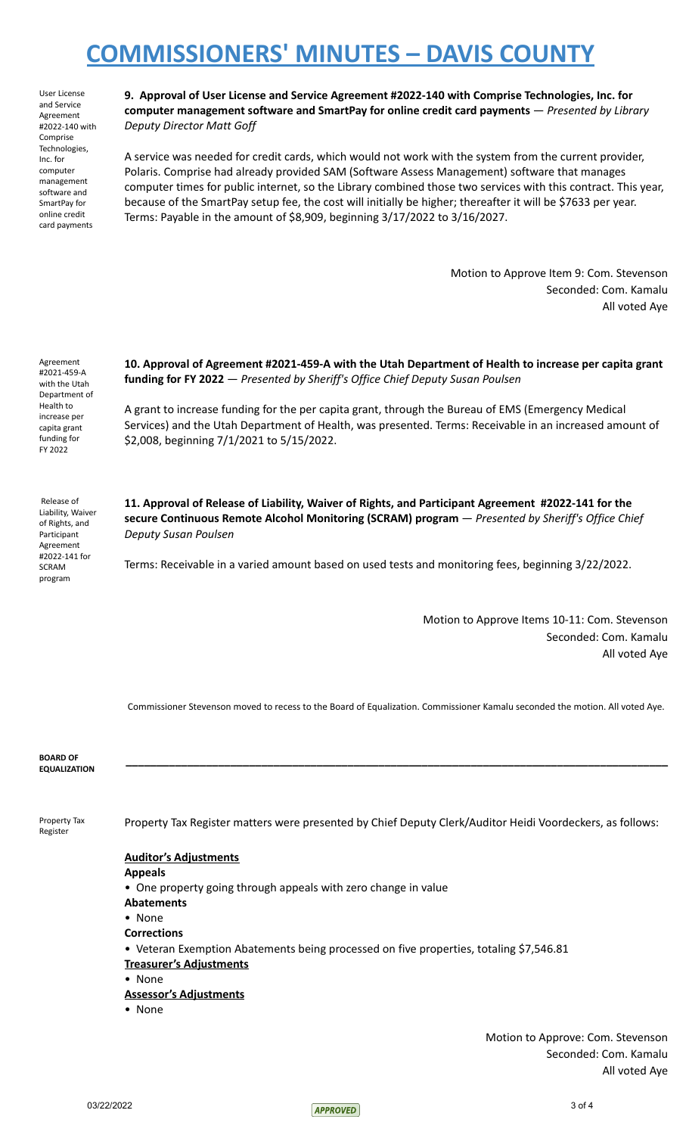User License and Service Agreement #2022-140 with Comprise Technologies, Inc. for computer management software and SmartPay for online credit card payments

**9. Approval of User License and Service Agreement #2022-140 with Comprise Technologies, Inc. for computer management software and SmartPay for online credit card payments** — *Presented by Library Deputy Director Matt Goff*

A service was needed for credit cards, which would not work with the system from the current provider, Polaris. Comprise had already provided SAM (Software Assess Management) software that manages computer times for public internet, so the Library combined those two services with this contract. This year, because of the SmartPay setup fee, the cost will initially be higher; thereafter it will be \$7633 per year. Terms: Payable in the amount of \$8,909, beginning 3/17/2022 to 3/16/2027.

> Motion to Approve Item 9: Com. Stevenson Seconded: Com. Kamalu All voted Aye

Agreement #2021-459-A with the Utah Department of Health to increase per capita grant funding for FY 2022

**10. Approval of Agreement #2021-459-A with the Utah Department of Health to increase per capita grant funding for FY 2022** — *Presented by Sheriff's Office Chief Deputy Susan Poulsen*

A grant to increase funding for the per capita grant, through the Bureau of EMS (Emergency Medical Services) and the Utah Department of Health, was presented. Terms: Receivable in an increased amount of \$2,008, beginning 7/1/2021 to 5/15/2022.

Release of Liability, Waiver of Rights, and Participant Agreement #2022-141 for SCRAM program

**11. Approval of Release of Liability, Waiver of Rights, and Participant Agreement #2022-141 for the secure Continuous Remote Alcohol Monitoring (SCRAM) program** — *Presented by Sheriff's Office Chief Deputy Susan Poulsen*

Terms: Receivable in a varied amount based on used tests and monitoring fees, beginning 3/22/2022.

Motion to Approve Items 10-11: Com. Stevenson Seconded: Com. Kamalu All voted Aye

Commissioner Stevenson moved to recess to the Board of Equalization. Commissioner Kamalu seconded the motion. All voted Aye.

**\_\_\_\_\_\_\_\_\_\_\_\_\_\_\_\_\_\_\_\_\_\_\_\_\_\_\_\_\_\_\_\_\_\_\_\_\_\_\_\_\_\_\_\_\_\_\_\_\_\_\_\_\_\_\_\_\_\_\_\_\_\_\_\_\_\_\_\_\_\_\_\_\_\_\_\_\_\_\_\_\_\_\_\_\_\_\_\_**

**BOARD OF EQUALIZATION**

Property Tax Register

Property Tax Register matters were presented by Chief Deputy Clerk/Auditor Heidi Voordeckers, as follows:

### **Auditor's Adjustments**

**Appeals**

- One property going through appeals with zero change in value
- **Abatements**
- None **Corrections**
- Veteran Exemption Abatements being processed on five properties, totaling \$7,546.81
- **Treasurer's Adjustments**
- None
- **Assessor's Adjustments**
- None

Motion to Approve: Com. Stevenson Seconded: Com. Kamalu All voted Aye